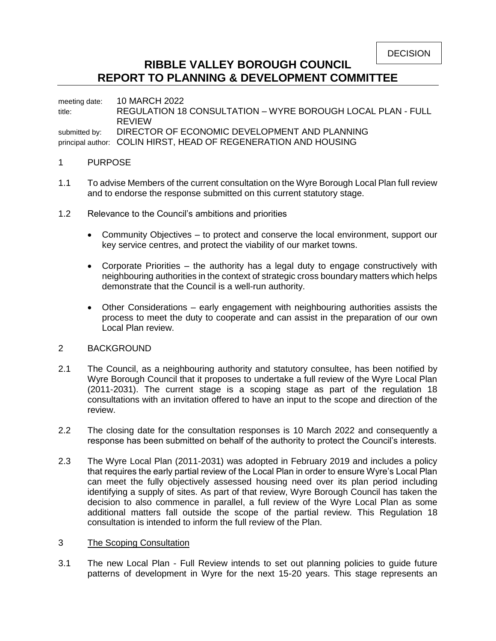# **RIBBLE VALLEY BOROUGH COUNCIL REPORT TO PLANNING & DEVELOPMENT COMMITTEE**

meeting date: 10 MARCH 2022 title: REGULATION 18 CONSULTATION – WYRE BOROUGH LOCAL PLAN - FULL REVIEW submitted by: DIRECTOR OF ECONOMIC DEVELOPMENT AND PLANNING principal author: COLIN HIRST, HEAD OF REGENERATION AND HOUSING

### 1 PURPOSE

- 1.1 To advise Members of the current consultation on the Wyre Borough Local Plan full review and to endorse the response submitted on this current statutory stage.
- 1.2 Relevance to the Council's ambitions and priorities
	- Community Objectives to protect and conserve the local environment, support our key service centres, and protect the viability of our market towns.
	- Corporate Priorities the authority has a legal duty to engage constructively with neighbouring authorities in the context of strategic cross boundary matters which helps demonstrate that the Council is a well-run authority.
	- Other Considerations early engagement with neighbouring authorities assists the process to meet the duty to cooperate and can assist in the preparation of our own Local Plan review.

### 2 BACKGROUND

- 2.1 The Council, as a neighbouring authority and statutory consultee, has been notified by Wyre Borough Council that it proposes to undertake a full review of the Wyre Local Plan (2011-2031). The current stage is a scoping stage as part of the regulation 18 consultations with an invitation offered to have an input to the scope and direction of the review.
- 2.2 The closing date for the consultation responses is 10 March 2022 and consequently a response has been submitted on behalf of the authority to protect the Council's interests.
- 2.3 The Wyre Local Plan (2011-2031) was adopted in February 2019 and includes a policy that requires the early partial review of the Local Plan in order to ensure Wyre's Local Plan can meet the fully objectively assessed housing need over its plan period including identifying a supply of sites. As part of that review, Wyre Borough Council has taken the decision to also commence in parallel, a full review of the Wyre Local Plan as some additional matters fall outside the scope of the partial review. This Regulation 18 consultation is intended to inform the full review of the Plan.

### 3 The Scoping Consultation

3.1 The new Local Plan - Full Review intends to set out planning policies to guide future patterns of development in Wyre for the next 15-20 years. This stage represents an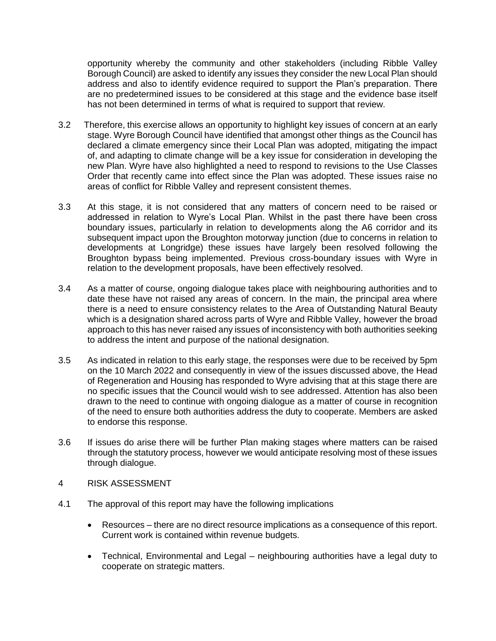opportunity whereby the community and other stakeholders (including Ribble Valley Borough Council) are asked to identify any issues they consider the new Local Plan should address and also to identify evidence required to support the Plan's preparation. There are no predetermined issues to be considered at this stage and the evidence base itself has not been determined in terms of what is required to support that review.

- 3.2 Therefore, this exercise allows an opportunity to highlight key issues of concern at an early stage. Wyre Borough Council have identified that amongst other things as the Council has declared a climate emergency since their Local Plan was adopted, mitigating the impact of, and adapting to climate change will be a key issue for consideration in developing the new Plan. Wyre have also highlighted a need to respond to revisions to the Use Classes Order that recently came into effect since the Plan was adopted. These issues raise no areas of conflict for Ribble Valley and represent consistent themes.
- 3.3 At this stage, it is not considered that any matters of concern need to be raised or addressed in relation to Wyre's Local Plan. Whilst in the past there have been cross boundary issues, particularly in relation to developments along the A6 corridor and its subsequent impact upon the Broughton motorway junction (due to concerns in relation to developments at Longridge) these issues have largely been resolved following the Broughton bypass being implemented. Previous cross-boundary issues with Wyre in relation to the development proposals, have been effectively resolved.
- 3.4 As a matter of course, ongoing dialogue takes place with neighbouring authorities and to date these have not raised any areas of concern. In the main, the principal area where there is a need to ensure consistency relates to the Area of Outstanding Natural Beauty which is a designation shared across parts of Wyre and Ribble Valley, however the broad approach to this has never raised any issues of inconsistency with both authorities seeking to address the intent and purpose of the national designation.
- 3.5 As indicated in relation to this early stage, the responses were due to be received by 5pm on the 10 March 2022 and consequently in view of the issues discussed above, the Head of Regeneration and Housing has responded to Wyre advising that at this stage there are no specific issues that the Council would wish to see addressed. Attention has also been drawn to the need to continue with ongoing dialogue as a matter of course in recognition of the need to ensure both authorities address the duty to cooperate. Members are asked to endorse this response.
- 3.6 If issues do arise there will be further Plan making stages where matters can be raised through the statutory process, however we would anticipate resolving most of these issues through dialogue.
- 4 RISK ASSESSMENT
- 4.1 The approval of this report may have the following implications
	- Resources there are no direct resource implications as a consequence of this report. Current work is contained within revenue budgets.
	- Technical, Environmental and Legal neighbouring authorities have a legal duty to cooperate on strategic matters.